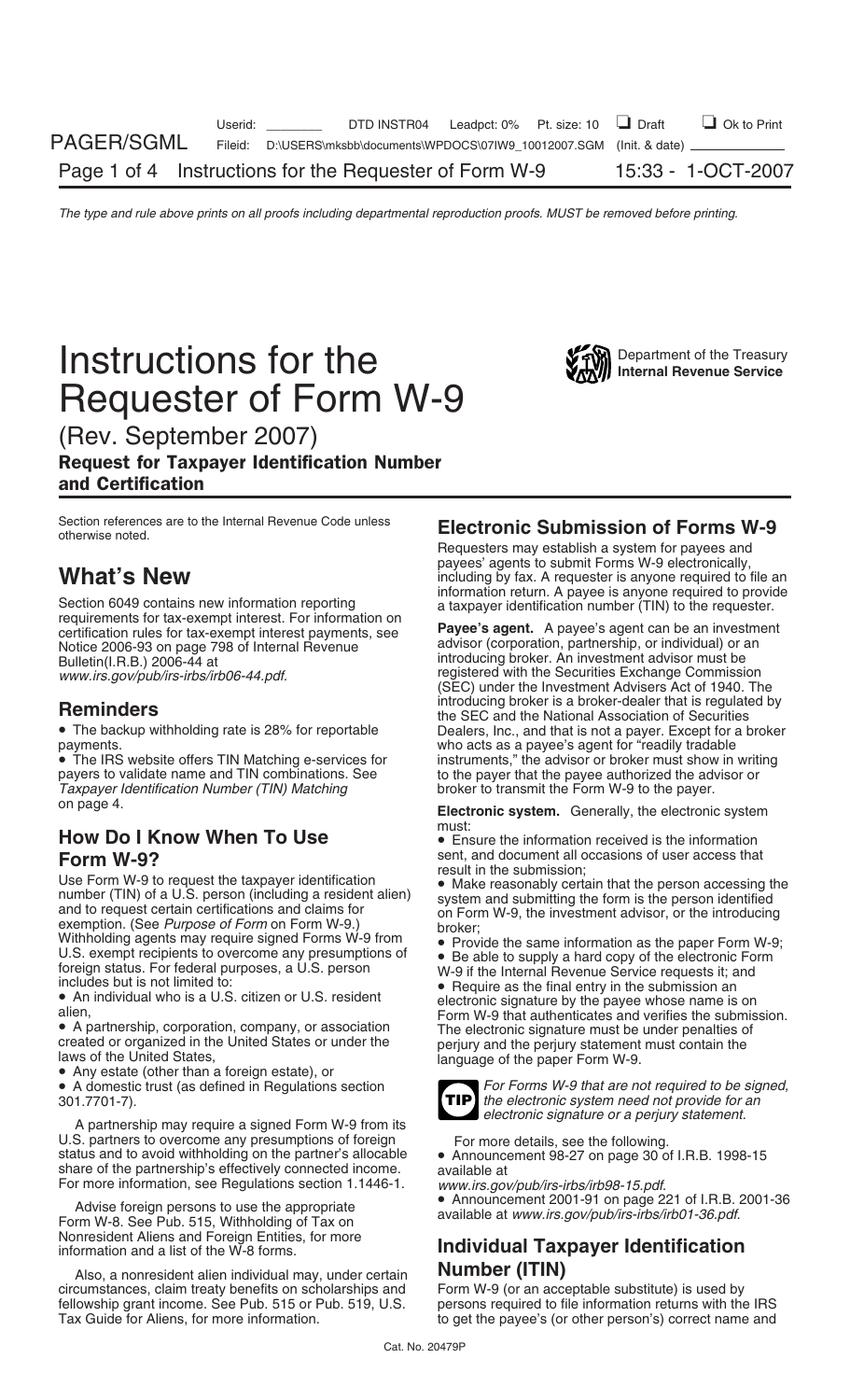## **Instructions for the Second Constructions for the Treasury** Requester of Form W-9

(Rev. September 2007)

### Request for Taxpayer Identification Number and Certification

Section references are to the Internal Revenue Code unless otherwise noted.

Section 6049 contains new information reporting<br>requirements for tax-exempt interest. For information on<br>certification rules for tax-exempt interest payments, see<br>**Payee's agent.** A payee's agent can be an investment Notice 2006-93 on page 798 of Internal Revenue advisor (corporation, partnership, or individual) or an Rulletin(I.R.B.) 2006-44 at introducing broker. An investment advisor must be bulletin(I.R.B.) 2006-44 at *www.irs.gov/pub/irs-irbs/irb06-44.pdf.* registered with the Securities Exchange Commission

*Taxpayer Identification Number (TIN) Matching* on page 4.

# **How Do I Know When To Use**<br> **Form W-92**<br> **Form W-92 Form W-92**

**Form W-9?**<br>
Use Form W-9 to request the taxpayer identification<br>
wend, and document all occasions of user access that<br>
number (TIN) of a U.S. person (including a resident alien)<br>
and to request certain certifications and

• A domestic trust (as defined in Regulations section *For Forms W-9 that are not required to be signed,*<br>301.7701-7).

A partnership may require a signed Form W-9 from its U.S. partners to overcome any presumptions of foreign<br>status and to avoid withholding on the partner's allocable <br>share of the partnership's effectively connected income. available at<br>available at For more information, see Regulations section 1.1446-1. *www.irs.gov/pub/irs-irbs/irb98-15.pdf*.

Nonresident Aliens and Foreign Entities, for more information and a list of the W-8 forms. **Individual Taxpayer Identification**

Also, a nonresident alien individual may, under certain **Number (ITIN)** circumstances, claim treaty benefits on scholarships and Form W-9 (or an acceptable substitute) is used by fellowship grant income. See Pub. 515 or Pub. 519, U.S. persons required to file information returns with the IRS Tax Guide for Aliens, for more information. The state of get the payee's (or other person's) correct name and

## **Electronic Submission of Forms W-9**

Requesters may establish a system for payees and payees' agents to submit Forms W-9 electronically,<br>including by fax. A requester is anyone required to file an<br>information return. A payee is anyone required to provide

(SEC) under the Investment Advisers Act of 1940. The **Reminders**<br>**Reminders** introducing broker is a broker-dealer that is regulated by<br>• The backup withholding rate is 28% for reportable **beliers**, Inc., and that is not a payer. Except for a broker Dealers, Inc., and that is not a payer. Except for a broker payments.<br>• The IRS website offers TIN Matching e-services for who acts as a payee's agent for "readily tradable"<br>• The IRS website offers TIN Matching e-services for instruments," the advisor or broker must show in • The IRS website offers TIN Matching e-services for instruments," the advisor or broker must show in writing payers to validate name and TIN combinations. See the payer that the payee authorized the advisor or to the payer that the payee authorized the advisor or broker to transmit the Form W-9 to the payer.

**Electronic system.** Generally, the electronic system

- 
- 



the electronic system need not provide for an *electronic signature or a perjury statement.*

• Announcement 2001-91 on page 221 of I.R.B. 2001-36 Advise foreign persons to use the appropriate available at *www.irs.gov/pub/irs-irbs/irb01-36.pdf*. Form W-8. See Pub. 515, Withholding of Tax on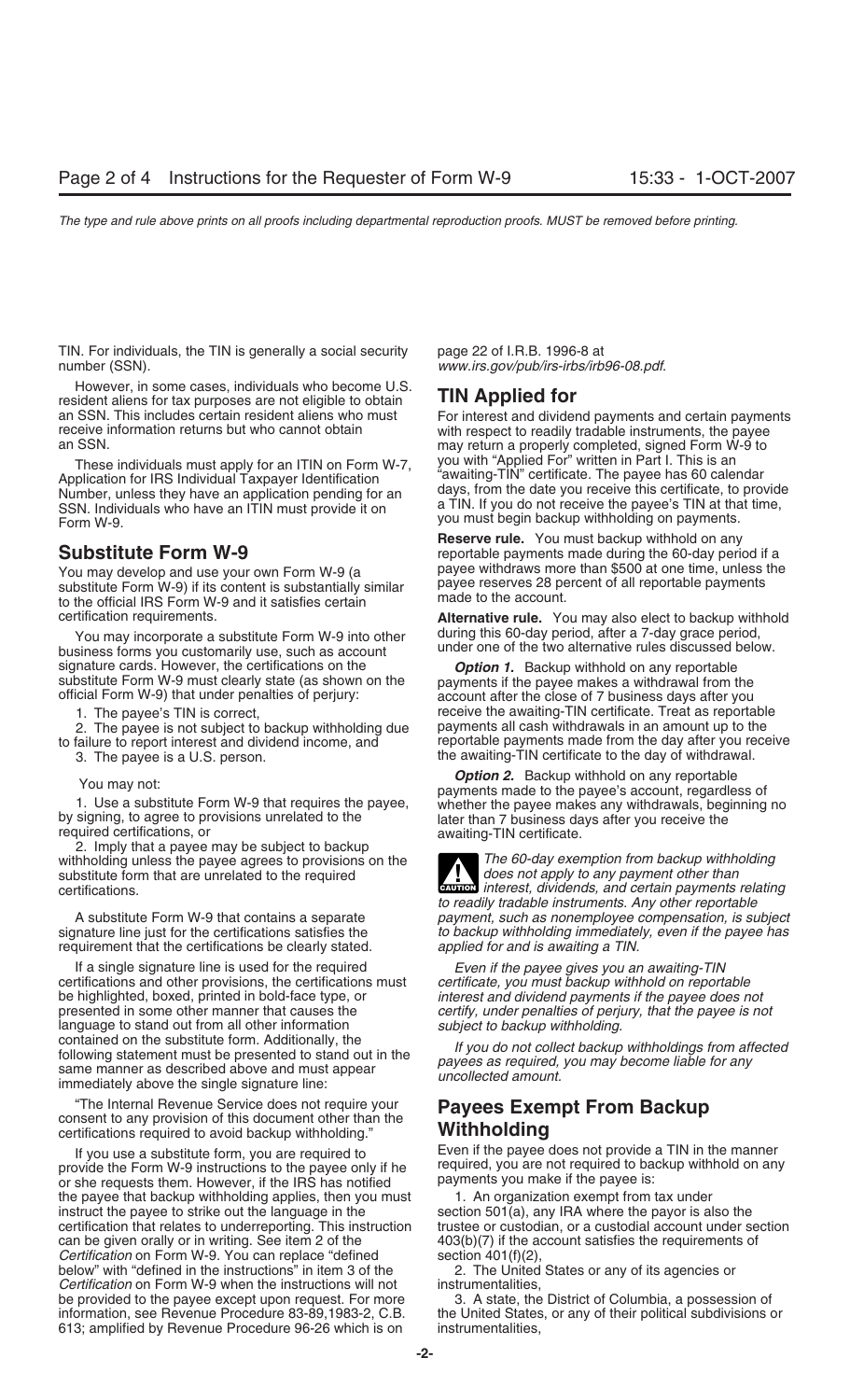TIN. For individuals, the TIN is generally a social security page 22 of I.R.B. 1996-8 at number (SSN). *www.irs.gov/pub/irs-irbs/irb96-08.pdf*.

However, in some cases, individuals who become U.S. resident aliens for tax purposes are not eligible to obtain **TIN Applied for**<br>an SSN. This includes certain resident aliens who must For interest and divider receive information returns but who cannot obtain with respect to readily tradable instruments, the payee<br>an SSN

Application for IRS Individual Taxpayer Identification SSN. Individuals who have an ITIN must provide it on a TIN. If you do not receive the payee's TIN at that time, you must begin backup withholding on payments.

substitute Form W-9) if its content is substantially similar payments  $\frac{p}{q}$  is to the official IRS Form W-9 and it satisfies certain made to the account.

business forms you customarily use, such as account signature cards. However, the certifications on the **Option 1.** Backup withhold on any reportable substitute Form W-9 must clearly state (as shown on the payments if the payee makes a withdrawal from the official Form W-9)

2. The payee is not subject to backup withholding due

withholding unless the payee agrees to provisions on the *The 60-day exemption from backup withholding*<br>substitute form that are unrelated to the required substitute form that are unrelated to the required certifications.

requirement that the certifications be clearly stated.

If a single signature line is used for the required *Even if the payee gives you an awaiting-TIN* certifications and other provisions, the certifications must *certificate, you must backup withhold on reportable* be highlighted, boxed, printed in bold-face type, or *interest and dividend payments if the payee does not* language to stand out from all other information *subject to backup withholding.* formalised on the substitute form. Additionally, the the same manner as described above and must appear<br>same manner as described above and must appear<br>immediately above the single signature line:<br>immediately above the sing

The Internal Revenue Service does not require your **Payees Exempt From Backup**<br>
consent to any provision of this document other than the **Withholding**<br> **Withholding** certifications required to avoid backup withholding."

provide the Form W-9 instructions to the payee only if he required, you are not required to backup or she required to backup or she required to backup with the IRS has notified payments you make if the payee is: or she requests them. However, if the IRS has notified the payee that backup withholding applies, then you must 1. An organization exempt from tax under instruct the payee to strike out the language in the section  $501(a)$ , any IRA where the payor is also the certification that relates to underreporting. This instruction trustee or custodian, or a custodial account under section can be given orally or in writing. See item 2 of the  $403(b)(7)$  if the account satisfies the requirements of *Certification* on Form W-9. You can replace "defined section 401(f)(2), below" with "defined in the instructions" in item 3 of the 2. The United States or any of its agencies or *Certification* on Form W-9 when the instructions will not instrumentalities, be provided to the payee except upon request. For more 3. A state, the District of Columbia, a possession of information, see Revenue Procedure 83-89,1983-2, C.B. the United States, or any of their political subdivisions or 613; amplified by Revenue Procedure 96-26 which is on instrumentalities,

an SSN. This includes certain resident aliens who must For interest and dividend payments and certain payments<br>
receive information returns but who cannot obtain with respect to readily tradable instruments the payee may return a properly completed, signed Form W-9 to These individuals must apply for an ITIN on Form W-7, you with "Applied For" written in Part I. This is an<br>plication for IBS Individual Taxpayer Identification where awaiting-TIN" certificate. The payee has 60 calendar Number, unless they have an application pending for an days, from the date you receive this certificate, to provide

**Reserve rule.** You must backup withhold on any **Substitute Form W-9** reportable payments made during the 60-day period if a You may develop and use your own Form W-9 (a payee withdraws more than \$500 at one time, unless the<br>substitute Form W-9) if its content is substantially similar payee reserves 28 percent of all reportable payments

certification requirements. **Alternative rule.** You may also elect to backup withhold You may incorporate a substitute Form W-9 into other during this 60-day period, after a 7-day grace period,<br>siness forms vou qustomarily use, such as account under one of the two alternative rules discussed below.

1. The payee's TIN is correct, eack up the correct of receive the awaiting-TIN certificate. Treat as reportable<br>2. The payee is not subject to backup withholding due equal payments all cash withdrawals in an amount up to t to failure to report interest and dividend income, and reportable payments made from the day after you receive 3. The payee is a U.S. person. The awaiting-TIN certificate to the day of withdrawal.

You may not:<br>
1. Use a substitute Form W-9 that requires the payee,<br>
by signing, to agree to provisions unrelated to the<br>
required certifications, or<br>
2. Imply that a payee may be subject to backup<br>
2. Imply that a payee m

certifications.<br>
CAUTION *interest, dividends, and certain payments relating*<br>
Certifications.<br>
CAUTED *interest, dividends, and certain payments relating to readily tradable instruments. Any other reportable* A substitute Form W-9 that contains a separate *payment, such as nonemployee compensation, is subject* signature line just for the certifications satisfies the *to backup withholding immediately, even if the payee has*<br>*to backup withholding immediately, even if the payee has*<br>*applied for and is awaiting a TIN*.

certify, under penalties of perjury, that the payee is not

If you use a substitute form, you are required to Farm if the payee does not provide a TIN in the manner<br>In the Form W-9 instructions to the payee only if he Forguired, you are not required to backup withhold on any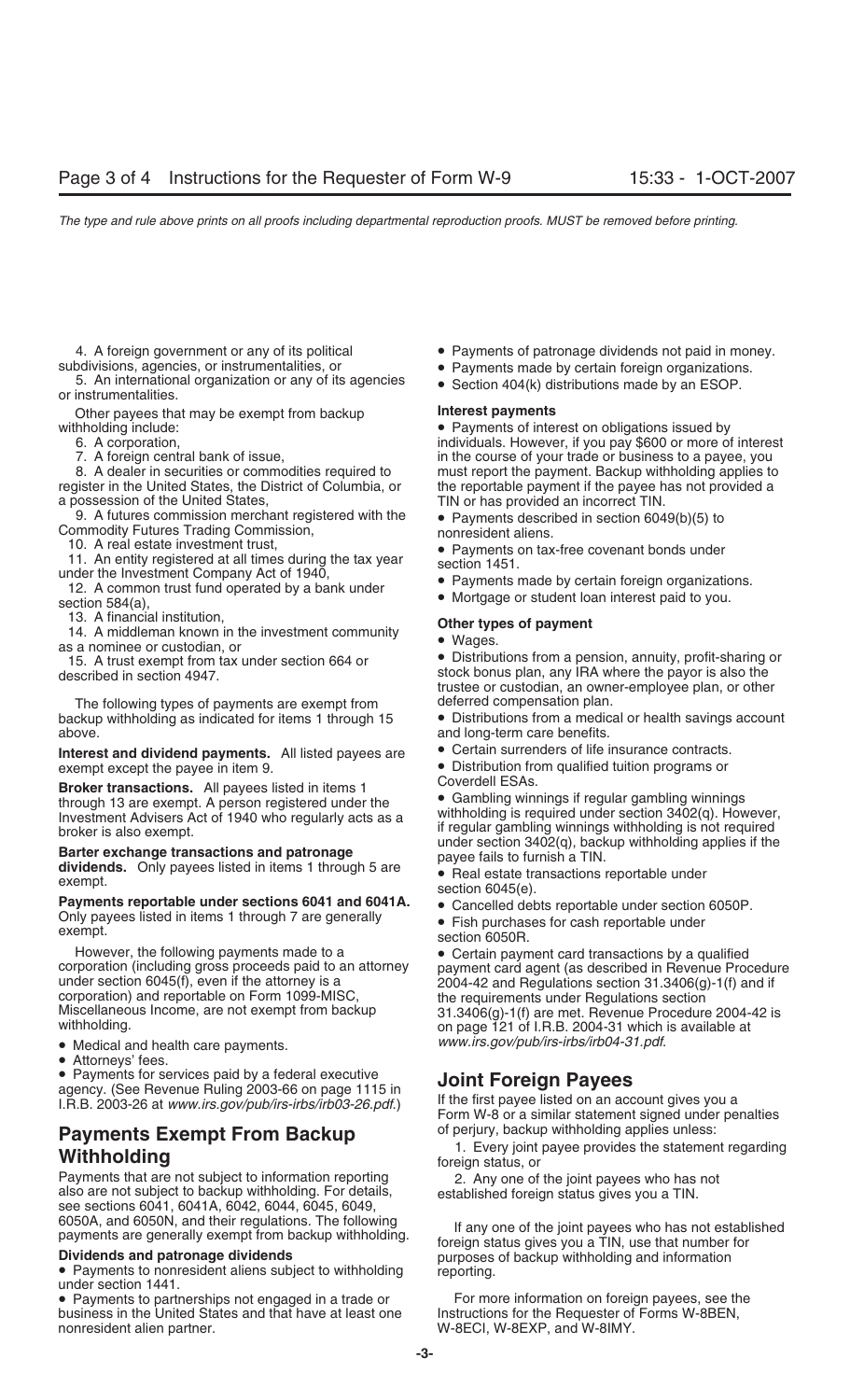subdivisions, agencies, or instrumentalities, or **•** Payments made by certain foreign organizations.<br>5. An international organization or any of its agencies • Section 404(k) distributions made by an ESOP. or instrumentalit

Other payees that may be exempt from backup **Interest payments**<br>**Withholding include: Interest payments of inter** 

register in the United States, the District of Columbia, or the reportable payment if the payee has not provided a a possession of the United States, The State of the United States, TIN or has provided an incorrect TIN.

9. A futures commission merchant registered with the • Payments described in section 6049(b)(5) to<br>Commodity Futures Trading Commission, nonresident aliens.<br>10. A real estate investment trust, e Payments on tax-free covena

10. A real estate investment trust,<br>
11. An entity registered at all times during the tax year<br>
under the Investment Company Act of 1940,<br>
12. A common trust fund operated by a bank under<br>
section 584(a),<br>
12. A common tru

The following types of payments are exempt from deferred compensation plan.<br>backup withholding as indicated for items 1 through 15 • Distributions from a medicated above. **above.** and long-term care benefits.

Interest and dividend payments. All listed payees are **C**ertain surrenders of life insurance contracts.

**Payments reportable under sections 6041 and 6041A.** • Cancelled debts reportable under section 6050P.<br>Only payees listed in items 1 through 7 are generally • Fish purchases for cash reportable under section 6050R.<br>section

• Medical and health care payments. *www.irs.gov/pub/irs-irbs/irb04-31.pdf*.

• Attorneys' fees.

• Payments for services paid by a federal executive<br>agency. (See Revenue Ruling 2003-66 on page 1115 in<br>I.R.B. 2003-26 at *www.irs.gov/pub/irs-irbs/irb03-26.pdf.*) If the first payee listed on an account gives you a<br>Form W

## **Payments Exempt From Backup** of perjury, backup withholding applies unless:

Payments that are not subject to information reporting 2. Any one of the joint payees who has not also are not subject to backup withholding. For details, established foreign status gives you a TIN.<br>see sections 6041, 6041

under section 1441.<br>• Payments to partnerships not engaged in a trade or For more information on foreign payees, see the<br>business in the United States and that have at least one Instructions for the Requester of Forms W-8B business in the United States and that have at least one nonresident alien partner. The match of the M-8ECI, W-8EXP, and W-8IMY.

- 4. A foreign government or any of its political Payments of patronage dividends not paid in money.<br>
 Payments made by certain foreign organizations.
	-
	-

A provided a method of the contract of the contract of interest on obligations issued by<br>
Fayments of interest on obligations issued by<br>
6. A corporation, the contract of the contract of the contract of the contract of the 6. A corporation, individuals. However, if you pay \$600 or more of interest 6.<br>6. The course of your trade or business to a payee, you in the course of your trade or business to a payee, you 8. A dealer in securities or commodities required to must report the payment. Backup withholding applies to

- 
- 

13. A financial institution,<br>
14. A middleman known in the investment community<br>
as a nominee or custodian, or<br>
15. A trust exempt from tax under section 664 or<br>
15. A trust exempt from tax under section 664 or<br>
15. A trus stock bonus plan, any IRA where the payor is also the trustee or custodian, an owner-employee plan, or other

• Distributions from a medical or health savings account

- 
- exempt except the payee in item 9. • Distribution from qualified tuition programs or<br> **Except transactions** All payees listed in items 1

**Broker transactions.** All payees listed in items 1<br>
through 13 are exempt. A person registered under the<br>
Investment Advisers Act of 1940 who regularly acts as a<br>
broker is also exempt.<br> **Barter exchange transactions and** 

- 
- 
- 
- 

However, the following payments made to a<br>corporation (including gross proceeds paid to an attorney<br>under section 6045(f), even if the attorney is a<br>corporation) and reportable on Form 1099-MISC,<br>Miscellaneous Income, are

**1.** Every joint payee provides the statement regarding **Withholding Withholding Withholding** 

6050A, and 6050N, and their regulations. The following<br>payments are generally exempt from backup withholding.<br>**Dividends and patronage dividends**<br>• Payments to nonresident aliens subject to withholding<br>under section 1441.